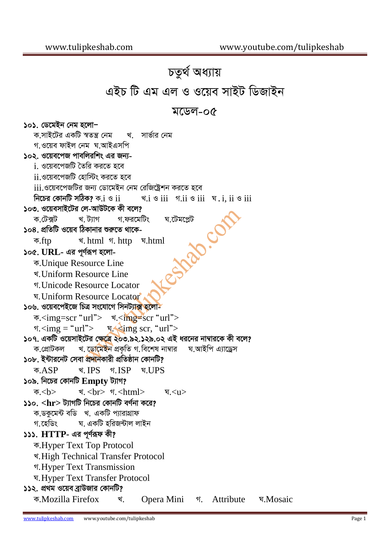## চতুৰ্থ অধ্যায় এইচ টি এম এল ও ওয়েব সাইট ডিজাইন

মডেল-০৫

| ১০১. ডেমেইন নেম হলো−                                                                                                     |
|--------------------------------------------------------------------------------------------------------------------------|
| ক.সাইটের একটি স্বতন্ত্র নেম খি. সার্ভার নেম                                                                              |
| গ ওয়েব ফাইল নেম ঘ.আইএসপি                                                                                                |
| ১০২. ওয়েবপেজ পাবলিরশিং এর জন্য-                                                                                         |
| <u>i. ওয়েবপেজটি তৈরি করতে হবে</u>                                                                                       |
| <u>ii.ওয়েবপেজটি হোস্টিং করতে হবে</u>                                                                                    |
| iii.ওয়েবপেজটির জন্য ডোমেইন নেম রেজিষ্ট্রেশন করতে হবে                                                                    |
| নিচের কোনটি সঠিক? ক. $i \otimes ii \qquad \text{d.i} \otimes iii \quad \text{d.ii} \otimes iii \quad \text{d.i} \neq ii$ |
| ১০৩. ওয়েবসাইটের লে-আউটকে কী বলে?                                                                                        |
| ক.টেক্সট খ.ট্যাগ গ.ফরমেটিং ঘ.টেমপ্লেট                                                                                    |
| ১০৪. প্রতিটি ওয়েব ঠিকানার শুরুতে থাকে-                                                                                  |
| ক.ftp = খ. html গ. http ঘ.html                                                                                           |
| ১০৫. URL- এর পূর্ণরূপ হলো-                                                                                               |
| ক.Unique Resource Line                                                                                                   |
| र्थ. Uniform Resource Line                                                                                               |
| গ. Unicode Resource Locator                                                                                              |
| ष. Uniform Resource Locator                                                                                              |
| ১০৬. ওয়েবপেইজে চিত্র সংযোগে সিনট্যা <mark>ক্স হলো-</mark>                                                               |
| क. <img=scr "url"=""> च.<img=scr "url"=""></img=scr></img=scr>                                                           |
| $\pi$ <img "url"="" ==""/> $\pi$ <img "url"="" scr,=""/>                                                                 |
| ১০৭. একটি ওয়েসাইটের ক্ষেত্রে ২০৩.৯২.১২৯.০২ এই ধরনের নাম্বারকে কী বলে?                                                   |
| ক.প্রোটকল খ. <mark>ডোমেই</mark> ন প্রকৃতি গ. বিশেষ নাম্বার ঘ.আইপি এ্যাড্রেস                                              |
| ১০৮. ইন্টারনেট সেবা প্রদানকারী প্রতিষ্ঠান কোনটি?                                                                         |
| क.ASP খ.IPS গ.ISP ঘ.UPS                                                                                                  |
| ১০৯. নিচের কোনটি $\boldsymbol{\mathrm{Empty}}$ ট্যাগ?                                                                    |
| ক. <b> খ.<br/> গ.<html> ঘ.<u></u></html></b>                                                                             |
| $\Delta$ ১০. $\langle$ hr $>$ ট্যাগটি নিচের কোনটি বর্ণনা করে?                                                            |
| ক.ডকুমেন্ট বডি   খ. একটি প্যারাগ্রাফ                                                                                     |
| গ.হেডিং ঘ. একটি হরিজন্টাল লাইন                                                                                           |
| ১১১. HTTP- এর পূর্ণরফ কী?                                                                                                |
|                                                                                                                          |
| ক.Hyper Text Top Protocol                                                                                                |
| र्थ. High Technical Transfer Protocol                                                                                    |
| গ. Hyper Text Transmission                                                                                               |
| घ. Hyper Text Transfer Protocol                                                                                          |
| ১১২. প্রথম ওয়েব ব্রাউজার কোনটি?                                                                                         |
| ক.Mozilla Firefox<br>Opera Mini<br>Attribute<br>घ. Mosaic<br>খ.<br>গ.                                                    |